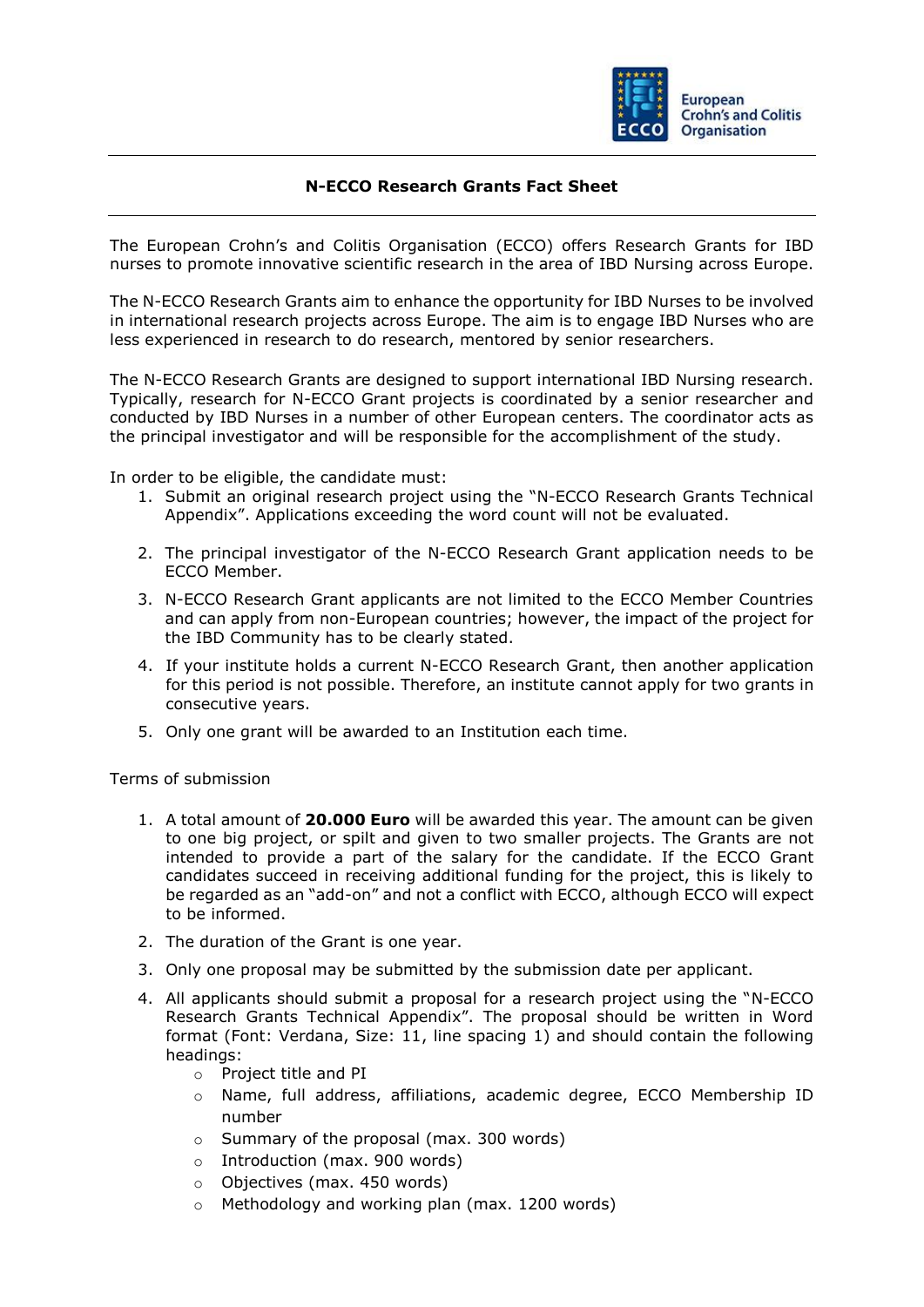

## **N-ECCO Research Grants Fact Sheet**

The European Crohn's and Colitis Organisation (ECCO) offers Research Grants for IBD nurses to promote innovative scientific research in the area of IBD Nursing across Europe.

The N-ECCO Research Grants aim to enhance the opportunity for IBD Nurses to be involved in international research projects across Europe. The aim is to engage IBD Nurses who are less experienced in research to do research, mentored by senior researchers.

The N-ECCO Research Grants are designed to support international IBD Nursing research. Typically, research for N-ECCO Grant projects is coordinated by a senior researcher and conducted by IBD Nurses in a number of other European centers. The coordinator acts as the principal investigator and will be responsible for the accomplishment of the study.

In order to be eligible, the candidate must:

- 1. Submit an original research project using the "N-ECCO Research Grants Technical Appendix". Applications exceeding the word count will not be evaluated.
- 2. The principal investigator of the N-ECCO Research Grant application needs to be ECCO Member.
- 3. N-ECCO Research Grant applicants are not limited to the ECCO Member Countries and can apply from non-European countries; however, the impact of the project for the IBD Community has to be clearly stated.
- 4. If your institute holds a current N-ECCO Research Grant, then another application for this period is not possible. Therefore, an institute cannot apply for two grants in consecutive years.
- 5. Only one grant will be awarded to an Institution each time.

Terms of submission

- 1. A total amount of **20.000 Euro** will be awarded this year. The amount can be given to one big project, or spilt and given to two smaller projects. The Grants are not intended to provide a part of the salary for the candidate. If the ECCO Grant candidates succeed in receiving additional funding for the project, this is likely to be regarded as an "add-on" and not a conflict with ECCO, although ECCO will expect to be informed.
- 2. The duration of the Grant is one year.
- 3. Only one proposal may be submitted by the submission date per applicant.
- 4. All applicants should submit a proposal for a research project using the "N-ECCO Research Grants Technical Appendix". The proposal should be written in Word format (Font: Verdana, Size: 11, line spacing 1) and should contain the following headings:
	- o Project title and PI
	- o Name, full address, affiliations, academic degree, ECCO Membership ID number
	- o Summary of the proposal (max. 300 words)
	- o Introduction (max. 900 words)
	- o Objectives (max. 450 words)
	- o Methodology and working plan (max. 1200 words)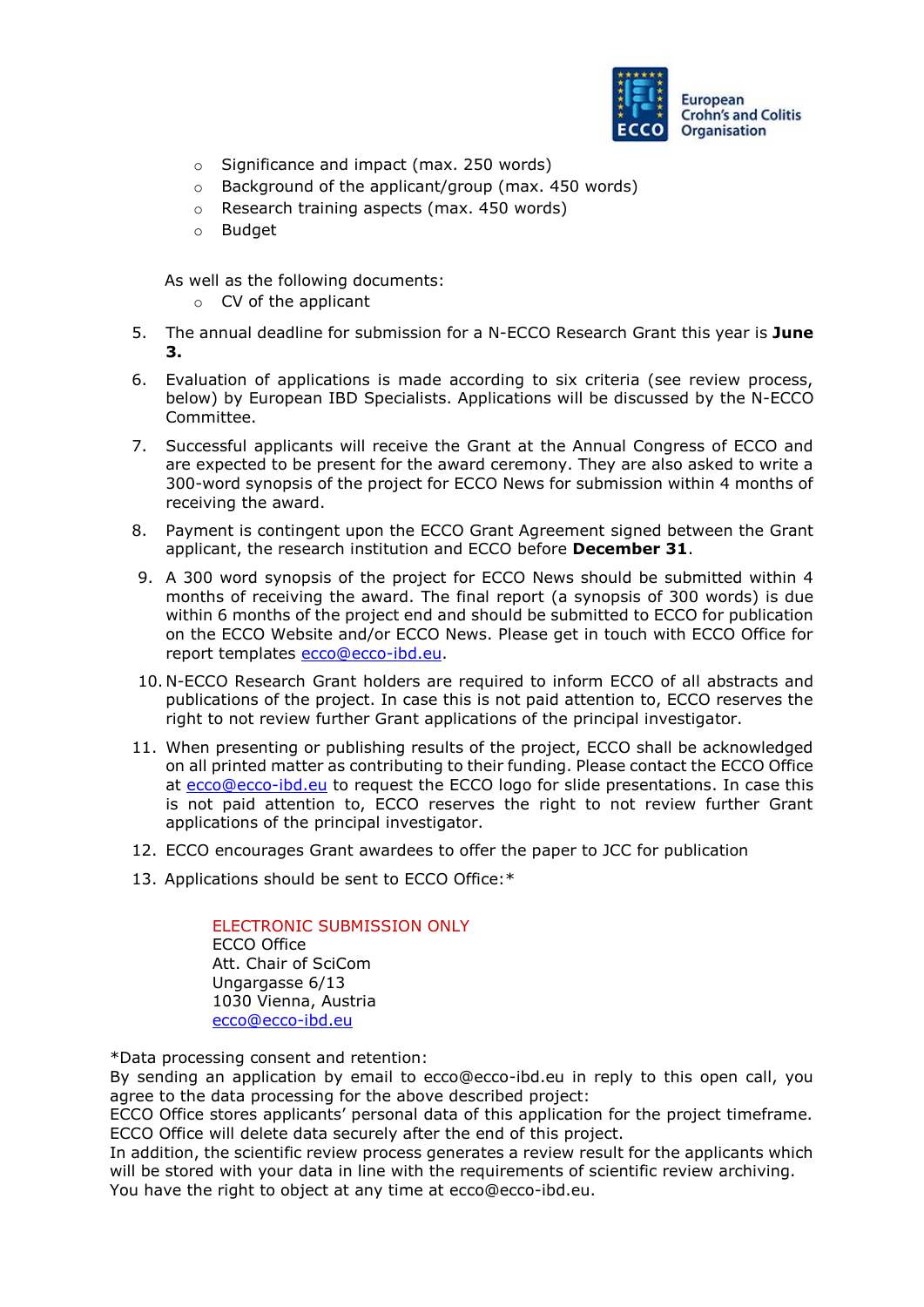

- o Significance and impact (max. 250 words)
- o Background of the applicant/group (max. 450 words)
- o Research training aspects (max. 450 words)
- o Budget

As well as the following documents:

- o CV of the applicant
- 5. The annual deadline for submission for a N-ECCO Research Grant this year is **June 3.**
- 6. Evaluation of applications is made according to six criteria (see review process, below) by European IBD Specialists. Applications will be discussed by the N-ECCO Committee.
- 7. Successful applicants will receive the Grant at the Annual Congress of ECCO and are expected to be present for the award ceremony. They are also asked to write a 300-word synopsis of the project for ECCO News for submission within 4 months of receiving the award.
- 8. Payment is contingent upon the ECCO Grant Agreement signed between the Grant applicant, the research institution and ECCO before **December 31**.
- 9. A 300 word synopsis of the project for ECCO News should be submitted within 4 months of receiving the award. The final report (a synopsis of 300 words) is due within 6 months of the project end and should be submitted to ECCO for publication on the ECCO Website and/or ECCO News. Please get in touch with ECCO Office for report templates [ecco@ecco-ibd.eu.](mailto:ecco@ecco-ibd.eu)
- 10. N-ECCO Research Grant holders are required to inform ECCO of all abstracts and publications of the project. In case this is not paid attention to, ECCO reserves the right to not review further Grant applications of the principal investigator.
- 11. When presenting or publishing results of the project, ECCO shall be acknowledged on all printed matter as contributing to their funding. Please contact the ECCO Office at [ecco@ecco-ibd.eu](mailto:ecco@ecco-ibd.eu) to request the ECCO logo for slide presentations. In case this is not paid attention to, ECCO reserves the right to not review further Grant applications of the principal investigator.
- 12. ECCO encourages Grant awardees to offer the paper to JCC for publication
- 13. Applications should be sent to ECCO Office:\*

ELECTRONIC SUBMISSION ONLY ECCO Office Att. Chair of SciCom Ungargasse 6/13 1030 Vienna, Austria [ecco@ecco-ibd.eu](mailto:ecco@ecco-ibd.eu)

\*Data processing consent and retention:

By sending an application by email to ecco@ecco-ibd.eu in reply to this open call, you agree to the data processing for the above described project:

ECCO Office stores applicants' personal data of this application for the project timeframe. ECCO Office will delete data securely after the end of this project.

In addition, the scientific review process generates a review result for the applicants which will be stored with your data in line with the requirements of scientific review archiving. You have the right to object at any time at ecco@ecco-ibd.eu.